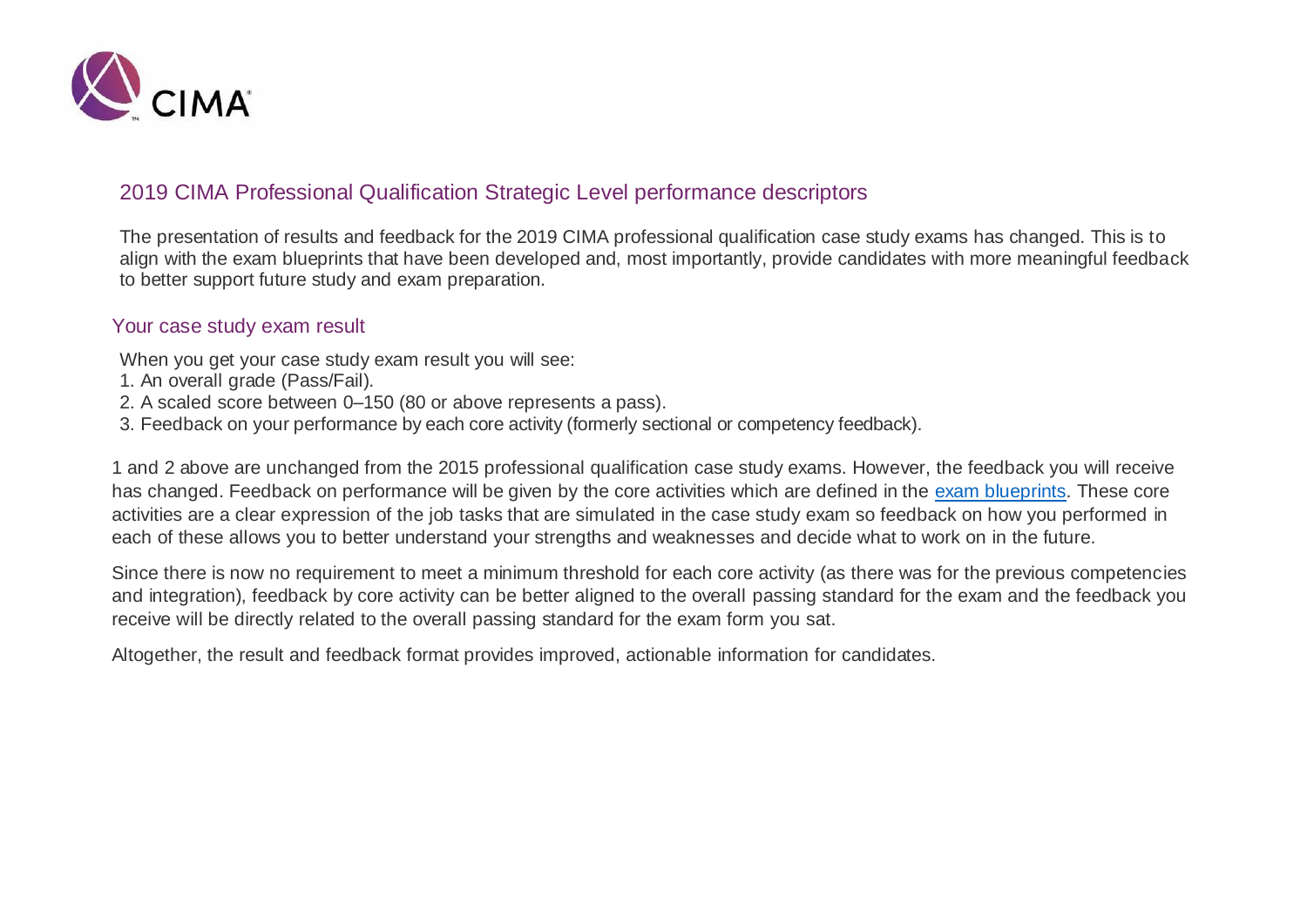

## 2019 CIMA Professional Qualification Strategic Level performance descriptors

The presentation of results and feedback for the 2019 CIMA professional qualification case study exams has changed. This is to align with the exam blueprints that have been developed and, most importantly, provide candidates with more meaningful feedback to better support future study and exam preparation.

#### Your case study exam result

When you get your case study exam result you will see:

- 1. An overall grade (Pass/Fail).
- 2. A scaled score between 0–150 (80 or above represents a pass).
- 3. Feedback on your performance by each core activity (formerly sectional or competency feedback).

1 and 2 above are unchanged from the 2015 professional qualification case study exams. However, the feedback you will receive has changed. Feedback on performance will be given by the core activities which are defined in the [exam blueprints.](https://www.cimaglobal.com/examblueprints) These core activities are a clear expression of the job tasks that are simulated in the case study exam so feedback on how you performed in each of these allows you to better understand your strengths and weaknesses and decide what to work on in the future.

Since there is now no requirement to meet a minimum threshold for each core activity (as there was for the previous competencies and integration), feedback by core activity can be better aligned to the overall passing standard for the exam and the feedback you receive will be directly related to the overall passing standard for the exam form you sat.

Altogether, the result and feedback format provides improved, actionable information for candidates.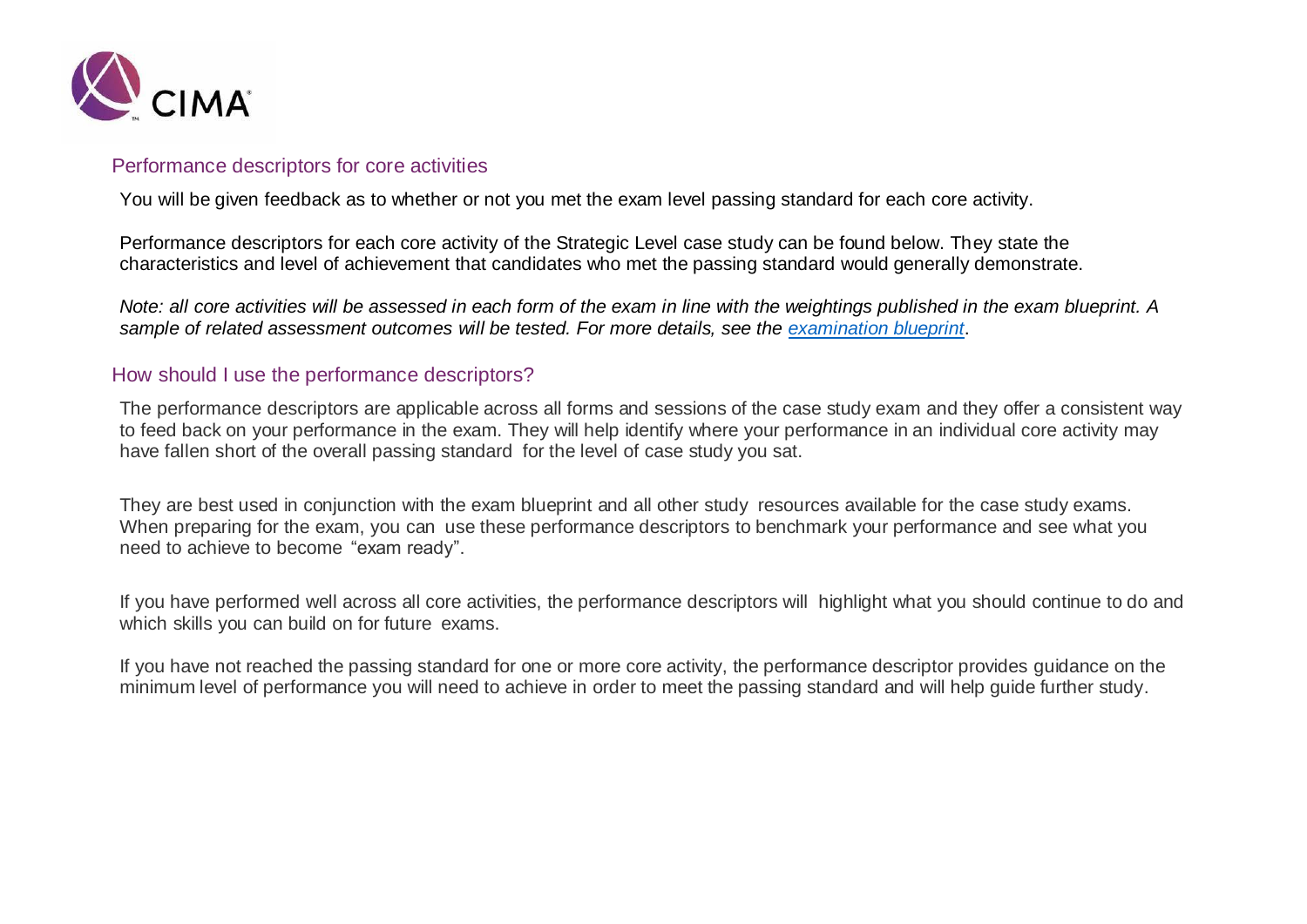

### Performance descriptors for core activities

You will be given feedback as to whether or not you met the exam level passing standard for each core activity.

Performance descriptors for each core activity of the Strategic Level case study can be found below. They state the characteristics and level of achievement that candidates who met the passing standard would generally demonstrate.

*Note: all core activities will be assessed in each form of the exam in line with the weightings published in the exam blueprint. A sample of related assessment outcomes will be tested. For more details, see the [examination blueprint](https://www.cimaglobal.com/examblueprints)*.

### How should I use the performance descriptors?

The performance descriptors are applicable across all forms and sessions of the case study exam and they offer a consistent way to feed back on your performance in the exam. They will help identify where your performance in an individual core activity may have fallen short of the overall passing standard for the level of case study you sat.

They are best used in conjunction with the exam blueprint and all other study resources available for the case study exams. When preparing for the exam, you can use these performance descriptors to benchmark your performance and see what you need to achieve to become "exam ready".

If you have performed well across all core activities, the performance descriptors will highlight what you should continue to do and which skills you can build on for future exams.

If you have not reached the passing standard for one or more core activity, the performance descriptor provides guidance on the minimum level of performance you will need to achieve in order to meet the passing standard and will help guide further study.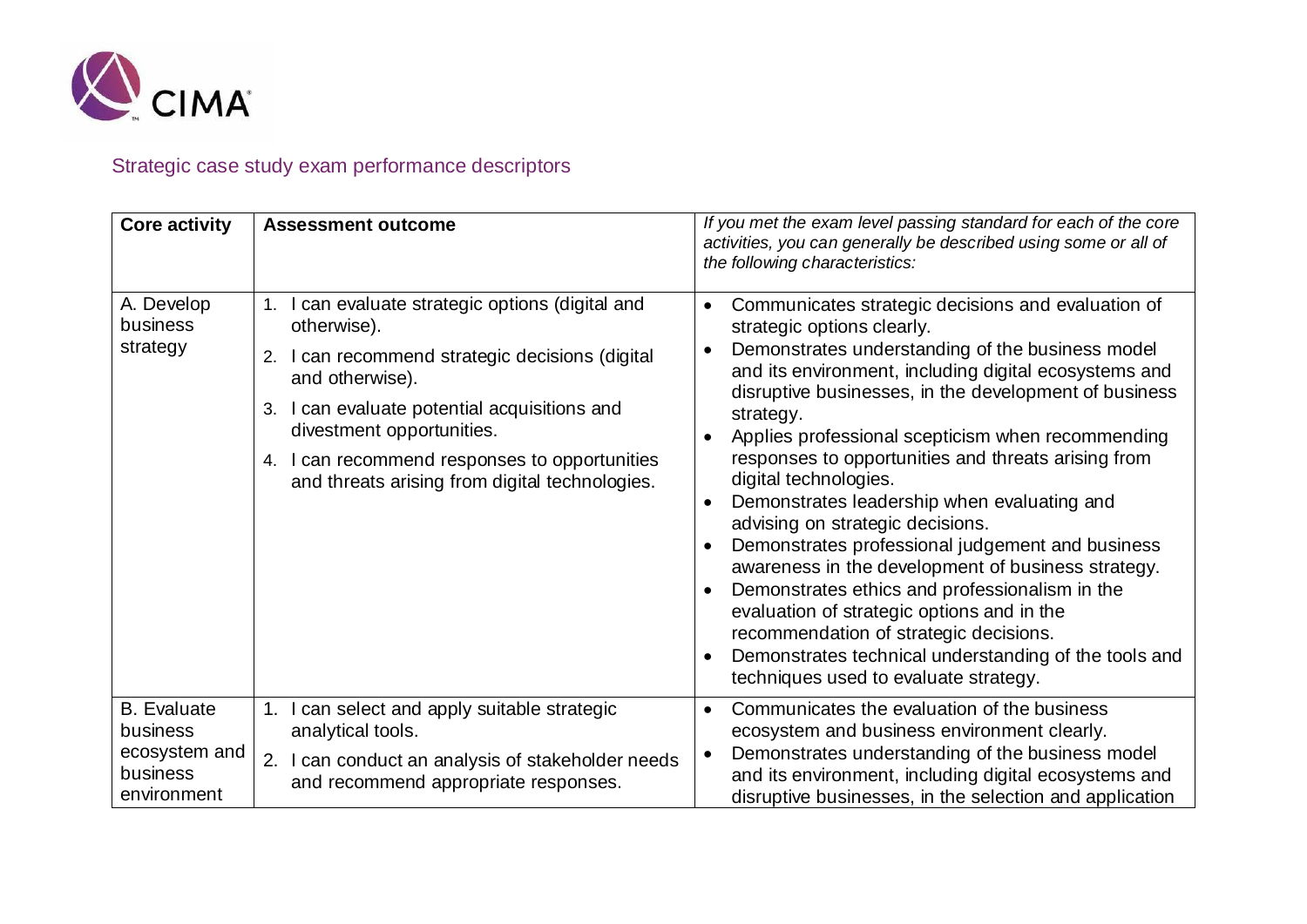

# Strategic case study exam performance descriptors

| <b>Core activity</b>                                                       | <b>Assessment outcome</b>                                                                                                                                                                                                                                                                                                      | If you met the exam level passing standard for each of the core<br>activities, you can generally be described using some or all of<br>the following characteristics:                                                                                                                                                                                                                                                                                                                                                                                                                                                                                                                                                                                                                                                                              |
|----------------------------------------------------------------------------|--------------------------------------------------------------------------------------------------------------------------------------------------------------------------------------------------------------------------------------------------------------------------------------------------------------------------------|---------------------------------------------------------------------------------------------------------------------------------------------------------------------------------------------------------------------------------------------------------------------------------------------------------------------------------------------------------------------------------------------------------------------------------------------------------------------------------------------------------------------------------------------------------------------------------------------------------------------------------------------------------------------------------------------------------------------------------------------------------------------------------------------------------------------------------------------------|
| A. Develop<br>business<br>strategy                                         | I can evaluate strategic options (digital and<br>1.<br>otherwise).<br>2. I can recommend strategic decisions (digital<br>and otherwise).<br>I can evaluate potential acquisitions and<br>3.<br>divestment opportunities.<br>I can recommend responses to opportunities<br>4.<br>and threats arising from digital technologies. | Communicates strategic decisions and evaluation of<br>strategic options clearly.<br>Demonstrates understanding of the business model<br>and its environment, including digital ecosystems and<br>disruptive businesses, in the development of business<br>strategy.<br>Applies professional scepticism when recommending<br>responses to opportunities and threats arising from<br>digital technologies.<br>Demonstrates leadership when evaluating and<br>advising on strategic decisions.<br>Demonstrates professional judgement and business<br>awareness in the development of business strategy.<br>Demonstrates ethics and professionalism in the<br>evaluation of strategic options and in the<br>recommendation of strategic decisions.<br>Demonstrates technical understanding of the tools and<br>techniques used to evaluate strategy. |
| <b>B.</b> Evaluate<br>business<br>ecosystem and<br>business<br>environment | I can select and apply suitable strategic<br>1.<br>analytical tools.<br>I can conduct an analysis of stakeholder needs<br>2.<br>and recommend appropriate responses.                                                                                                                                                           | Communicates the evaluation of the business<br>ecosystem and business environment clearly.<br>Demonstrates understanding of the business model<br>and its environment, including digital ecosystems and<br>disruptive businesses, in the selection and application                                                                                                                                                                                                                                                                                                                                                                                                                                                                                                                                                                                |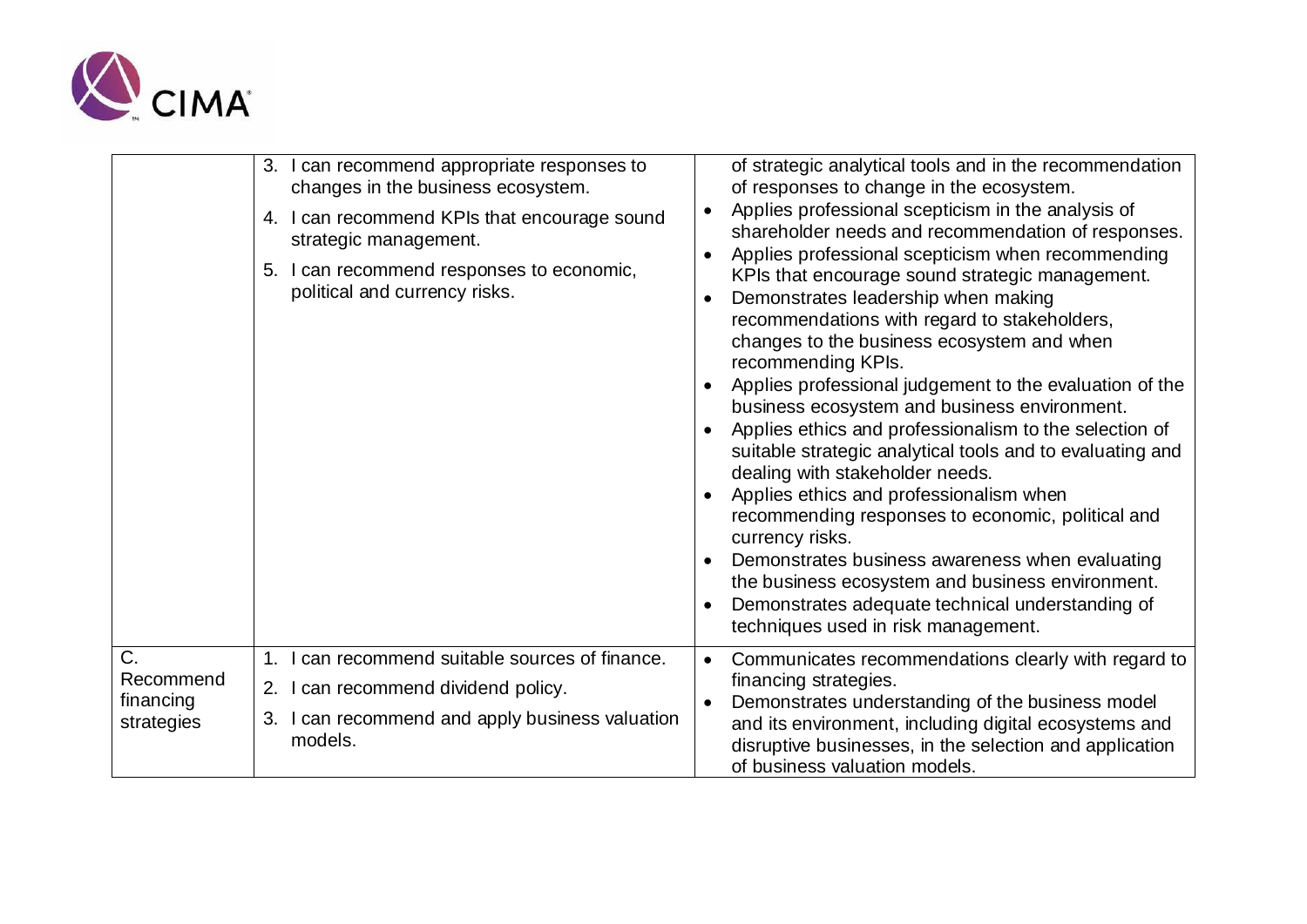

|                         | 3. I can recommend appropriate responses to<br>changes in the business ecosystem.<br>4. I can recommend KPIs that encourage sound<br>strategic management.<br>5. I can recommend responses to economic,<br>political and currency risks. | of strategic analytical tools and in the recommendation<br>of responses to change in the ecosystem.<br>Applies professional scepticism in the analysis of<br>shareholder needs and recommendation of responses.<br>Applies professional scepticism when recommending<br>$\bullet$<br>KPIs that encourage sound strategic management.<br>Demonstrates leadership when making<br>recommendations with regard to stakeholders,<br>changes to the business ecosystem and when<br>recommending KPIs.<br>Applies professional judgement to the evaluation of the<br>$\bullet$<br>business ecosystem and business environment.<br>Applies ethics and professionalism to the selection of<br>$\bullet$<br>suitable strategic analytical tools and to evaluating and<br>dealing with stakeholder needs.<br>Applies ethics and professionalism when<br>recommending responses to economic, political and<br>currency risks.<br>Demonstrates business awareness when evaluating<br>the business ecosystem and business environment.<br>Demonstrates adequate technical understanding of<br>techniques used in risk management. |
|-------------------------|------------------------------------------------------------------------------------------------------------------------------------------------------------------------------------------------------------------------------------------|---------------------------------------------------------------------------------------------------------------------------------------------------------------------------------------------------------------------------------------------------------------------------------------------------------------------------------------------------------------------------------------------------------------------------------------------------------------------------------------------------------------------------------------------------------------------------------------------------------------------------------------------------------------------------------------------------------------------------------------------------------------------------------------------------------------------------------------------------------------------------------------------------------------------------------------------------------------------------------------------------------------------------------------------------------------------------------------------------------------------|
| C.<br>Recommend         | 1. I can recommend suitable sources of finance.<br>2. I can recommend dividend policy.<br>3. I can recommend and apply business valuation<br>models.                                                                                     | Communicates recommendations clearly with regard to<br>financing strategies.                                                                                                                                                                                                                                                                                                                                                                                                                                                                                                                                                                                                                                                                                                                                                                                                                                                                                                                                                                                                                                        |
| financing<br>strategies |                                                                                                                                                                                                                                          | Demonstrates understanding of the business model<br>and its environment, including digital ecosystems and<br>disruptive businesses, in the selection and application<br>of business valuation models.                                                                                                                                                                                                                                                                                                                                                                                                                                                                                                                                                                                                                                                                                                                                                                                                                                                                                                               |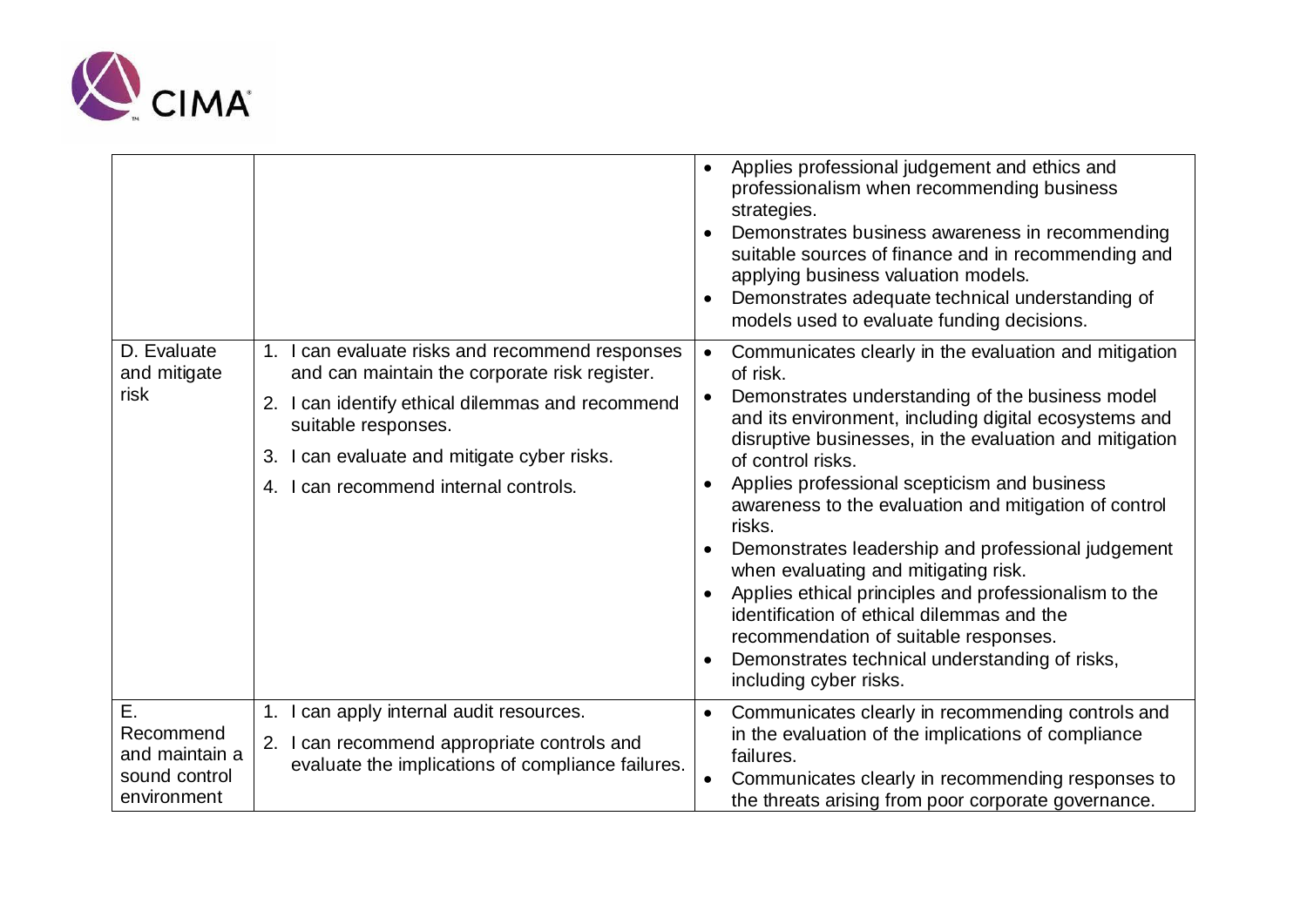

|                                                                   |                                                                                                                                                                                                                                                                        | Applies professional judgement and ethics and<br>$\bullet$<br>professionalism when recommending business<br>strategies.<br>Demonstrates business awareness in recommending<br>suitable sources of finance and in recommending and<br>applying business valuation models.<br>Demonstrates adequate technical understanding of<br>$\bullet$<br>models used to evaluate funding decisions.                                                                                                                                                                                                                                                                                                                                               |
|-------------------------------------------------------------------|------------------------------------------------------------------------------------------------------------------------------------------------------------------------------------------------------------------------------------------------------------------------|---------------------------------------------------------------------------------------------------------------------------------------------------------------------------------------------------------------------------------------------------------------------------------------------------------------------------------------------------------------------------------------------------------------------------------------------------------------------------------------------------------------------------------------------------------------------------------------------------------------------------------------------------------------------------------------------------------------------------------------|
| D. Evaluate<br>and mitigate<br>risk                               | 1. I can evaluate risks and recommend responses<br>and can maintain the corporate risk register.<br>2. I can identify ethical dilemmas and recommend<br>suitable responses.<br>3. I can evaluate and mitigate cyber risks.<br>I can recommend internal controls.<br>4. | Communicates clearly in the evaluation and mitigation<br>of risk.<br>Demonstrates understanding of the business model<br>and its environment, including digital ecosystems and<br>disruptive businesses, in the evaluation and mitigation<br>of control risks.<br>Applies professional scepticism and business<br>$\bullet$<br>awareness to the evaluation and mitigation of control<br>risks.<br>Demonstrates leadership and professional judgement<br>when evaluating and mitigating risk.<br>Applies ethical principles and professionalism to the<br>identification of ethical dilemmas and the<br>recommendation of suitable responses.<br>Demonstrates technical understanding of risks,<br>$\bullet$<br>including cyber risks. |
| Ε.<br>Recommend<br>and maintain a<br>sound control<br>environment | 1. I can apply internal audit resources.<br>2. I can recommend appropriate controls and<br>evaluate the implications of compliance failures.                                                                                                                           | Communicates clearly in recommending controls and<br>$\bullet$<br>in the evaluation of the implications of compliance<br>failures.<br>Communicates clearly in recommending responses to<br>the threats arising from poor corporate governance.                                                                                                                                                                                                                                                                                                                                                                                                                                                                                        |